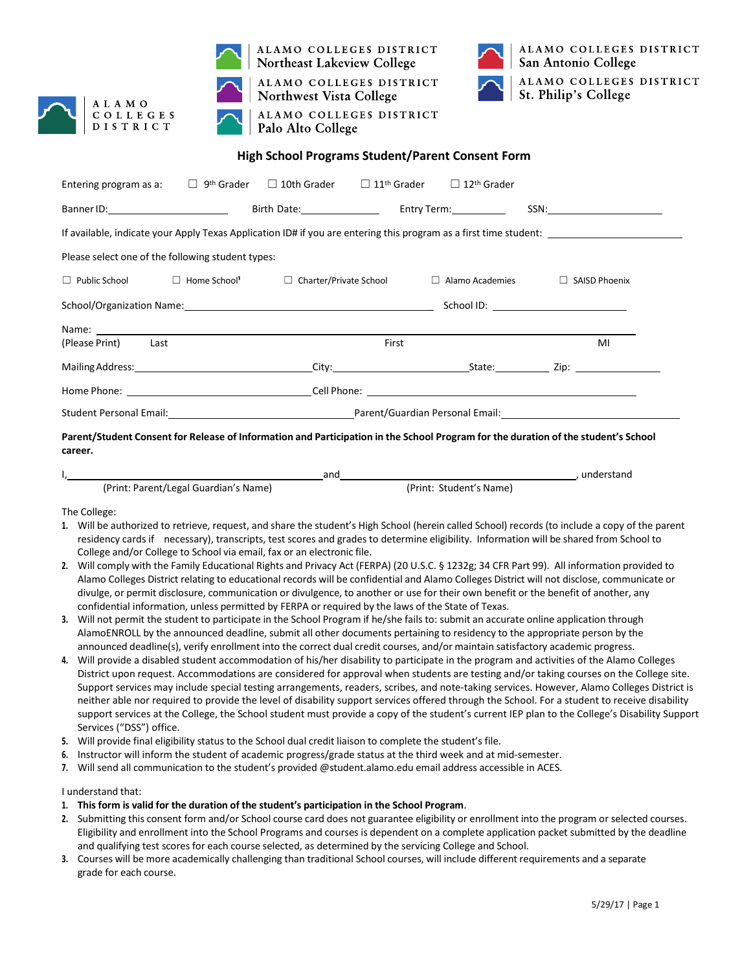



ALAMO COLLEGES DISTRICT **Northeast Lakeview College** 

ALAMO COLLEGES DISTRICT **Northwest Vista College** ALAMO COLLEGES DISTRICT Palo Alto College



# **High School Programs Student/Parent Consent Form**

| Entering program as a: $\square$ 9 <sup>th</sup> Grader $\square$ 10th Grader $\square$ 11 <sup>th</sup> Grader $\square$ 12 <sup>th</sup> Grader |       |  |                         |  |                                       |  |  |
|---------------------------------------------------------------------------------------------------------------------------------------------------|-------|--|-------------------------|--|---------------------------------------|--|--|
|                                                                                                                                                   |       |  | Birth Date: Entry Term: |  |                                       |  |  |
| If available, indicate your Apply Texas Application ID# if you are entering this program as a first time student:                                 |       |  |                         |  |                                       |  |  |
| Please select one of the following student types:                                                                                                 |       |  |                         |  |                                       |  |  |
| □ Public School □ Home School' □ Charter/Private School □ Alamo Academies                                                                         |       |  |                         |  | $\Box$ SAISD Phoenix                  |  |  |
|                                                                                                                                                   |       |  |                         |  | School ID: __________________________ |  |  |
|                                                                                                                                                   |       |  |                         |  |                                       |  |  |
| (Please Print) Last                                                                                                                               | First |  | MI                      |  |                                       |  |  |
|                                                                                                                                                   |       |  |                         |  |                                       |  |  |
|                                                                                                                                                   |       |  |                         |  |                                       |  |  |
|                                                                                                                                                   |       |  |                         |  |                                       |  |  |

Parent/Student Consent for Release of Information and Participation in the School Program for the duration of the student's School **career.**

|                                       | and |                         | understand |
|---------------------------------------|-----|-------------------------|------------|
| (Print: Parent/Legal Guardian's Name) |     | (Print: Student's Name) |            |

The College:

- **1.** Will be authorized to retrieve, request, and share the student's High School (herein called School) records (to include a copy of the parent residency cards if necessary), transcripts, test scores and grades to determine eligibility. Information will be shared from School to College and/or College to School via email, fax or an electronic file.
- **2.** Will comply with the Family Educational Rights and Privacy Act (FERPA) (20 U.S.C. § 1232g; 34 CFR Part 99). All information provided to Alamo Colleges District relating to educational records will be confidential and Alamo Colleges District will not disclose, communicate or divulge, or permit disclosure, communication or divulgence, to another or use for their own benefit or the benefit of another, any confidential information, unless permitted by FERPA or required by the laws of the State of Texas.
- **3.** Will not permit the student to participate in the School Program if he/she fails to: submit an accurate online application through AlamoENROLL by the announced deadline, submit all other documents pertaining to residency to the appropriate person by the announced deadline(s), verify enrollment into the correct dual credit courses, and/or maintain satisfactory academic progress.
- **4.** Will provide a disabled student accommodation of his/her disability to participate in the program and activities of the Alamo Colleges District upon request. Accommodations are considered for approval when students are testing and/or taking courses on the College site. Support services may include special testing arrangements, readers, scribes, and note-taking services. However, Alamo Colleges District is neither able nor required to provide the level of disability support services offered through the School. For a student to receive disability support services at the College, the School student must provide a copy of the student's current IEP plan to the College's Disability Support Services ("DSS") office.
- **5.** Will provide final eligibility status to the School dual credit liaison to complete the student's file.
- **6.** Instructor will inform the student of academic progress/grade status at the third week and at mid-semester.
- **7.** Will send all communication to the student's provided @student.alamo.edu email address accessible in ACES.

I understand that:

- **1. This form is valid for the duration of the student's participation in the School Program**.
- **2.** Submitting this consent form and/or School course card does not guarantee eligibility or enrollment into the program or selected courses. Eligibility and enrollment into the School Programs and courses is dependent on a complete application packet submitted by the deadline and qualifying test scores for each course selected, as determined by the servicing College and School.
- **3.** Courses will be more academically challenging than traditional School courses, will include different requirements and a separate grade for each course.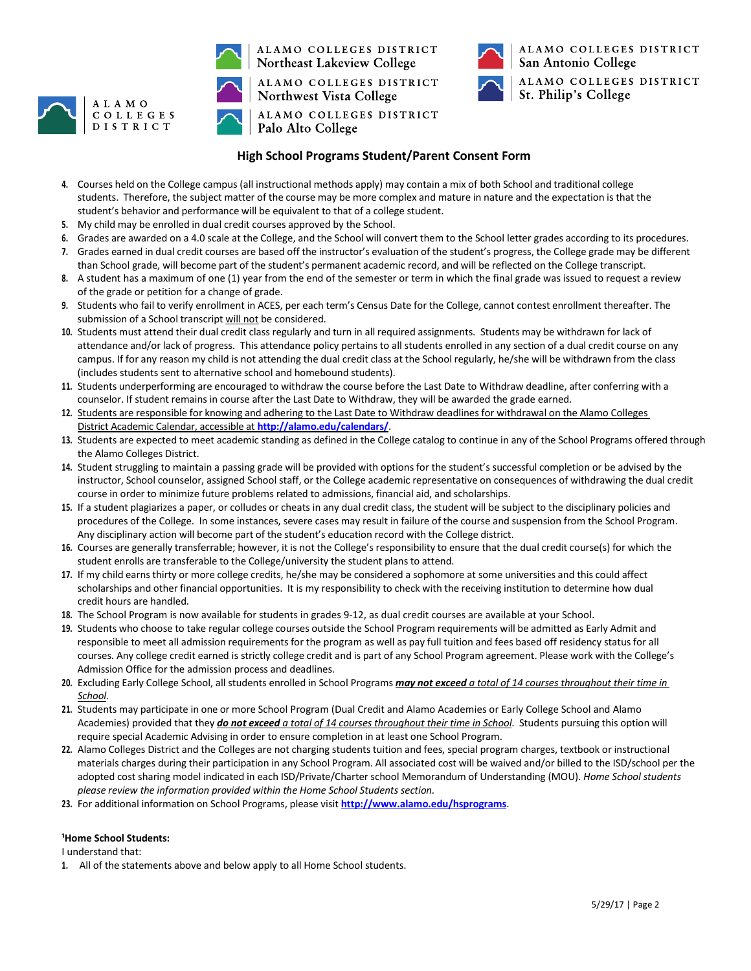



ALAMO COLLEGES DISTRICT **Northeast Lakeview College** 

ALAMO COLLEGES DISTRICT **Northwest Vista College** ALAMO COLLEGES DISTRICT Palo Alto College



# **High School Programs Student/Parent Consent Form**

- **4.** Courses held on the College campus (all instructional methods apply) may contain a mix of both School and traditional college students. Therefore, the subject matter of the course may be more complex and mature in nature and the expectation is that the student's behavior and performance will be equivalent to that of a college student.
- **5.** My child may be enrolled in dual credit courses approved by the School.
- **6.** Grades are awarded on a 4.0 scale at the College, and the School will convert them to the School letter grades according to its procedures.
- **7.** Grades earned in dual credit courses are based off the instructor's evaluation of the student's progress, the College grade may be different than School grade, will become part of the student's permanent academic record, and will be reflected on the College transcript.
- **8.** A student has a maximum of one (1) year from the end of the semester or term in which the final grade was issued to request a review of the grade or petition for a change of grade.
- **9.** Students who fail to verify enrollment in ACES, per each term's Census Date for the College, cannot contest enrollment thereafter. The submission of a School transcript will not be considered.
- **10.** Students must attend their dual credit class regularly and turn in all required assignments. Students may be withdrawn for lack of attendance and/or lack of progress. This attendance policy pertains to all students enrolled in any section of a dual credit course on any campus. If for any reason my child is not attending the dual credit class at the School regularly, he/she will be withdrawn from the class (includes students sent to alternative school and homebound students).
- **11.** Students underperforming are encouraged to withdraw the course before the Last Date to Withdraw deadline, after conferring with a counselor. If student remains in course after the Last Date to Withdraw, they will be awarded the grade earned.
- **12.** Students are responsible for knowing and adhering to the Last Date to Withdraw deadlines for withdrawal on the Alamo Colleges District Academic Calendar, accessible at **<http://alamo.edu/calendars/>**.
- **13.** Students are expected to meet academic standing as defined in the College catalog to continue in any of the School Programs offered through the Alamo Colleges District.
- **14.** Student struggling to maintain a passing grade will be provided with options for the student's successful completion or be advised by the instructor, School counselor, assigned School staff, or the College academic representative on consequences of withdrawing the dual credit course in order to minimize future problems related to admissions, financial aid, and scholarships.
- **15.** If a student plagiarizes a paper, or colludes or cheats in any dual credit class, the student will be subject to the disciplinary policies and procedures of the College. In some instances, severe cases may result in failure of the course and suspension from the School Program. Any disciplinary action will become part of the student's education record with the College district.
- **16.** Courses are generally transferrable; however, it is not the College's responsibility to ensure that the dual credit course(s) for which the student enrolls are transferable to the College/university the student plans to attend.
- **17.** If my child earnsthirty or more college credits, he/she may be considered a sophomore at some universities and this could affect scholarships and other financial opportunities. It is my responsibility to check with the receiving institution to determine how dual credit hours are handled.
- **18.** The School Program is now available for students in grades 9-12, as dual credit courses are available at your School.
- **19.** Students who choose to take regular college courses outside the School Program requirements will be admitted as Early Admit and responsible to meet all admission requirements for the program as well as pay full tuition and fees based off residency status for all courses. Any college credit earned is strictly college credit and is part of any School Program agreement. Please work with the College's Admission Office for the admission process and deadlines.
- **20.** Excluding Early College School, all students enrolled in School Programs *may not exceed a total of 14 courses throughout their time in School.*
- **21.** Students may participate in one or more School Program (Dual Credit and Alamo Academies or Early College School and Alamo Academies) provided that they *do not exceed a total of 14 courses throughout their time in School*. Students pursuing this option will require special Academic Advising in order to ensure completion in at least one School Program.
- **22.** Alamo Colleges District and the Colleges are not charging students tuition and fees, special program charges, textbook or instructional materials charges during their participation in any School Program. All associated cost will be waived and/or billed to the ISD/school per the adopted cost sharing model indicated in each ISD/Private/Charter school Memorandum of Understanding (MOU). *Home School students please review the information provided within the Home School Students section.*
- **23.** For additional information on School Programs, please visit **<http://www.alamo.edu/hsprograms>**.

### **¹Home School Students:**

I understand that:

**1.** All of the statements above and below apply to all Home School students.